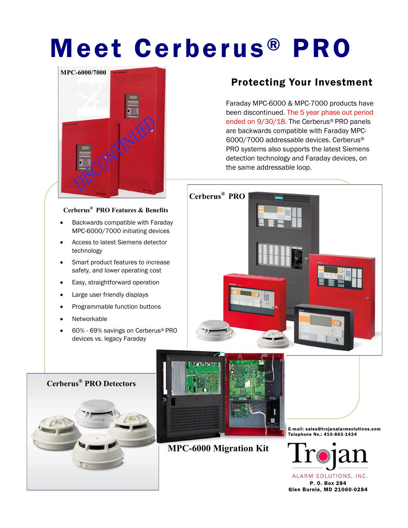## Meet Cerberus ® PRO



## **Cerberus® PRO Features & Benefits**

- Backwards compatible with Faraday MPC-6000/7000 initiating devices
- Access to latest Siemens detector technology
- Smart product features to increase safety, and lower operating cost
- Easy, straightforward operation
- Large user friendly displays
- Programmable function buttons
- **Networkable**
- 60% 69% savings on Cerberus® PRO devices vs. legacy Faraday

## Protecting Your Investment

Faraday MPC-6000 & MPC-7000 products have been discontinued. The 5 year phase out period ended on 9/30/18. The Cerberus® PRO panels are backwards compatible with Faraday MPC-6000/7000 addressable devices. Cerberus® PRO systems also supports the latest Siemens detection technology and Faraday devices, on the same addressable loop.







**MPC-6000 Migration Kit**

E-mail: Telephone No.: 410-863-1434



ALARM SOLUTIONS, INC. P. O. Box 284 Glen Burnie, MD 21060-0284